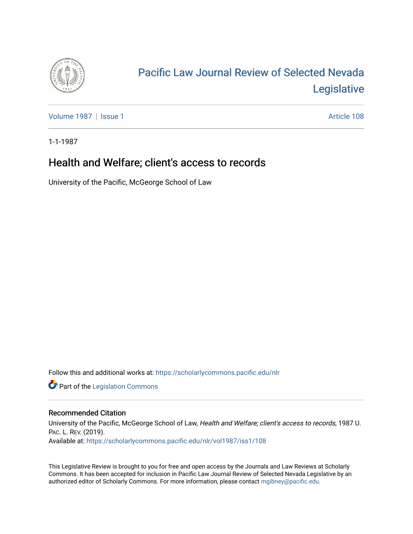

## [Pacific Law Journal Review of Selected Nevada](https://scholarlycommons.pacific.edu/nlr)  [Legislative](https://scholarlycommons.pacific.edu/nlr)

[Volume 1987](https://scholarlycommons.pacific.edu/nlr/vol1987) | [Issue 1](https://scholarlycommons.pacific.edu/nlr/vol1987/iss1) Article 108

1-1-1987

## Health and Welfare; client's access to records

University of the Pacific, McGeorge School of Law

Follow this and additional works at: [https://scholarlycommons.pacific.edu/nlr](https://scholarlycommons.pacific.edu/nlr?utm_source=scholarlycommons.pacific.edu%2Fnlr%2Fvol1987%2Fiss1%2F108&utm_medium=PDF&utm_campaign=PDFCoverPages) 

**Part of the [Legislation Commons](http://network.bepress.com/hgg/discipline/859?utm_source=scholarlycommons.pacific.edu%2Fnlr%2Fvol1987%2Fiss1%2F108&utm_medium=PDF&utm_campaign=PDFCoverPages)** 

## Recommended Citation

University of the Pacific, McGeorge School of Law, Health and Welfare; client's access to records, 1987 U. PAC. L. REV. (2019). Available at: [https://scholarlycommons.pacific.edu/nlr/vol1987/iss1/108](https://scholarlycommons.pacific.edu/nlr/vol1987/iss1/108?utm_source=scholarlycommons.pacific.edu%2Fnlr%2Fvol1987%2Fiss1%2F108&utm_medium=PDF&utm_campaign=PDFCoverPages) 

This Legislative Review is brought to you for free and open access by the Journals and Law Reviews at Scholarly Commons. It has been accepted for inclusion in Pacific Law Journal Review of Selected Nevada Legislative by an authorized editor of Scholarly Commons. For more information, please contact [mgibney@pacific.edu](mailto:mgibney@pacific.edu).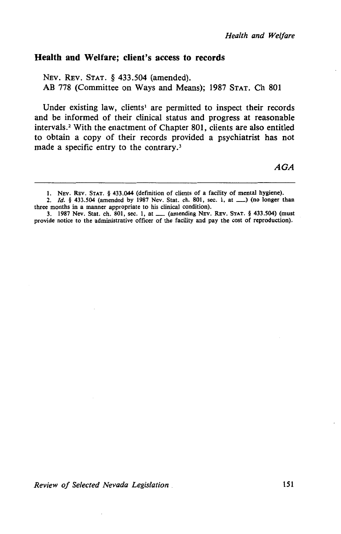## Health and Welfare; client's access to records

NEv. REv. STAT. § 433.504 (amended). AB 778 (Committee on Ways and Means); 1987 STAT. Ch 801

Under existing law, clients<sup>1</sup> are permitted to inspect their records and be informed of their clinical status and progress at reasonable intervals.2 With the enactment of Chapter 801, clients are also entitled to obtain a copy of their records provided a psychiatrist has not made a specific entry to the contrary.<sup>3</sup>

AGA

<sup>1.</sup> NEV. REv. STAT. § 433.044 (definition of clients of a facility of mental hygiene).

<sup>2.</sup> *Id.* § 433.504 (amended by 1987 Nev. Stat. ch. 801, sec. 1, at \_\_) (no longer than three months in a manner appropriate to his clinical condition).

<sup>3. 1987</sup> Nev. Stat. ch. 801, sec. 1, at \_\_ (amending NEV. REV. STAT. § 433.504) (must provide notice to the administrative officer of the facility and pay the cost of reproduction).